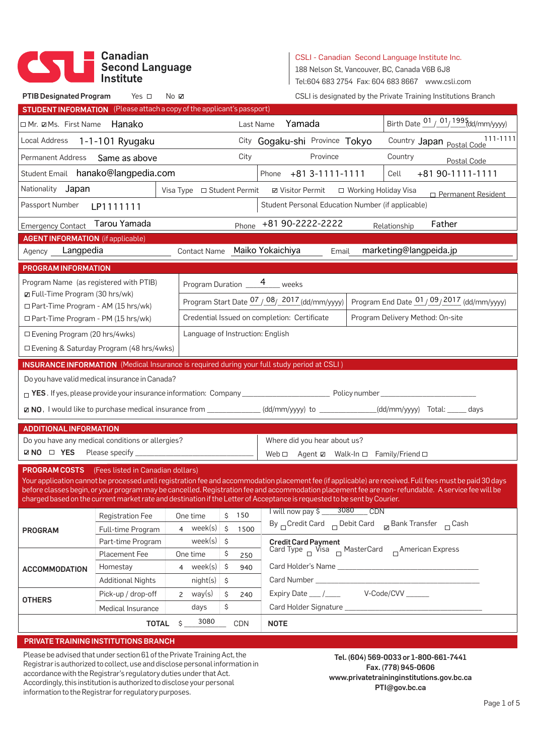# Canadian<br>Second Language<br>Institute

CSLI - Canadian Second Language Institute Inc.

188 Nelson St, Vancouver, BC, Canada V6B 6J8

Tel:604 683 2754 Fax: 604 683 8667 www.csli.com

| <b>STUDENT INFORMATION</b> (Please attach a copy of the applicant's passport) |                                                                                                                                                                                                                                                                                                                                                                                                                                                                           |                                                |                                                                                                                                                                                                                                      |                                                                                                                                                                                                                                                                                                                                                                                                                                                                                                                                                                                                                                                                                                                                                                                                                                                                                                                                                                                                                                                                                                                                                                                                                                                                                                                                                                |
|-------------------------------------------------------------------------------|---------------------------------------------------------------------------------------------------------------------------------------------------------------------------------------------------------------------------------------------------------------------------------------------------------------------------------------------------------------------------------------------------------------------------------------------------------------------------|------------------------------------------------|--------------------------------------------------------------------------------------------------------------------------------------------------------------------------------------------------------------------------------------|----------------------------------------------------------------------------------------------------------------------------------------------------------------------------------------------------------------------------------------------------------------------------------------------------------------------------------------------------------------------------------------------------------------------------------------------------------------------------------------------------------------------------------------------------------------------------------------------------------------------------------------------------------------------------------------------------------------------------------------------------------------------------------------------------------------------------------------------------------------------------------------------------------------------------------------------------------------------------------------------------------------------------------------------------------------------------------------------------------------------------------------------------------------------------------------------------------------------------------------------------------------------------------------------------------------------------------------------------------------|
|                                                                               |                                                                                                                                                                                                                                                                                                                                                                                                                                                                           |                                                |                                                                                                                                                                                                                                      |                                                                                                                                                                                                                                                                                                                                                                                                                                                                                                                                                                                                                                                                                                                                                                                                                                                                                                                                                                                                                                                                                                                                                                                                                                                                                                                                                                |
|                                                                               |                                                                                                                                                                                                                                                                                                                                                                                                                                                                           | Yamada<br>Last Name                            |                                                                                                                                                                                                                                      | Birth Date $\frac{01}{01}$ 1995 (dd/mm/yyyy)                                                                                                                                                                                                                                                                                                                                                                                                                                                                                                                                                                                                                                                                                                                                                                                                                                                                                                                                                                                                                                                                                                                                                                                                                                                                                                                   |
| Local Address 1-1-101 Ryugaku                                                 |                                                                                                                                                                                                                                                                                                                                                                                                                                                                           | City Gogaku-shi Province Tokyo                 |                                                                                                                                                                                                                                      | Country Japan Postal Code 111-1111                                                                                                                                                                                                                                                                                                                                                                                                                                                                                                                                                                                                                                                                                                                                                                                                                                                                                                                                                                                                                                                                                                                                                                                                                                                                                                                             |
|                                                                               |                                                                                                                                                                                                                                                                                                                                                                                                                                                                           | Province                                       | Country                                                                                                                                                                                                                              | Postal Code                                                                                                                                                                                                                                                                                                                                                                                                                                                                                                                                                                                                                                                                                                                                                                                                                                                                                                                                                                                                                                                                                                                                                                                                                                                                                                                                                    |
|                                                                               |                                                                                                                                                                                                                                                                                                                                                                                                                                                                           |                                                | Cell                                                                                                                                                                                                                                 | +81 90-1111-1111                                                                                                                                                                                                                                                                                                                                                                                                                                                                                                                                                                                                                                                                                                                                                                                                                                                                                                                                                                                                                                                                                                                                                                                                                                                                                                                                               |
|                                                                               |                                                                                                                                                                                                                                                                                                                                                                                                                                                                           |                                                |                                                                                                                                                                                                                                      | □ Permanent Resident                                                                                                                                                                                                                                                                                                                                                                                                                                                                                                                                                                                                                                                                                                                                                                                                                                                                                                                                                                                                                                                                                                                                                                                                                                                                                                                                           |
|                                                                               |                                                                                                                                                                                                                                                                                                                                                                                                                                                                           |                                                |                                                                                                                                                                                                                                      |                                                                                                                                                                                                                                                                                                                                                                                                                                                                                                                                                                                                                                                                                                                                                                                                                                                                                                                                                                                                                                                                                                                                                                                                                                                                                                                                                                |
|                                                                               |                                                                                                                                                                                                                                                                                                                                                                                                                                                                           |                                                | Relationship                                                                                                                                                                                                                         | Father                                                                                                                                                                                                                                                                                                                                                                                                                                                                                                                                                                                                                                                                                                                                                                                                                                                                                                                                                                                                                                                                                                                                                                                                                                                                                                                                                         |
|                                                                               |                                                                                                                                                                                                                                                                                                                                                                                                                                                                           |                                                |                                                                                                                                                                                                                                      |                                                                                                                                                                                                                                                                                                                                                                                                                                                                                                                                                                                                                                                                                                                                                                                                                                                                                                                                                                                                                                                                                                                                                                                                                                                                                                                                                                |
|                                                                               |                                                                                                                                                                                                                                                                                                                                                                                                                                                                           |                                                |                                                                                                                                                                                                                                      |                                                                                                                                                                                                                                                                                                                                                                                                                                                                                                                                                                                                                                                                                                                                                                                                                                                                                                                                                                                                                                                                                                                                                                                                                                                                                                                                                                |
|                                                                               |                                                                                                                                                                                                                                                                                                                                                                                                                                                                           |                                                |                                                                                                                                                                                                                                      |                                                                                                                                                                                                                                                                                                                                                                                                                                                                                                                                                                                                                                                                                                                                                                                                                                                                                                                                                                                                                                                                                                                                                                                                                                                                                                                                                                |
|                                                                               |                                                                                                                                                                                                                                                                                                                                                                                                                                                                           |                                                |                                                                                                                                                                                                                                      |                                                                                                                                                                                                                                                                                                                                                                                                                                                                                                                                                                                                                                                                                                                                                                                                                                                                                                                                                                                                                                                                                                                                                                                                                                                                                                                                                                |
|                                                                               |                                                                                                                                                                                                                                                                                                                                                                                                                                                                           |                                                |                                                                                                                                                                                                                                      | Program End Date 01/09/2017 (dd/mm/yyyy)                                                                                                                                                                                                                                                                                                                                                                                                                                                                                                                                                                                                                                                                                                                                                                                                                                                                                                                                                                                                                                                                                                                                                                                                                                                                                                                       |
|                                                                               |                                                                                                                                                                                                                                                                                                                                                                                                                                                                           |                                                |                                                                                                                                                                                                                                      |                                                                                                                                                                                                                                                                                                                                                                                                                                                                                                                                                                                                                                                                                                                                                                                                                                                                                                                                                                                                                                                                                                                                                                                                                                                                                                                                                                |
|                                                                               |                                                                                                                                                                                                                                                                                                                                                                                                                                                                           |                                                |                                                                                                                                                                                                                                      |                                                                                                                                                                                                                                                                                                                                                                                                                                                                                                                                                                                                                                                                                                                                                                                                                                                                                                                                                                                                                                                                                                                                                                                                                                                                                                                                                                |
| □ Evening Program (20 hrs/4wks)                                               |                                                                                                                                                                                                                                                                                                                                                                                                                                                                           |                                                |                                                                                                                                                                                                                                      |                                                                                                                                                                                                                                                                                                                                                                                                                                                                                                                                                                                                                                                                                                                                                                                                                                                                                                                                                                                                                                                                                                                                                                                                                                                                                                                                                                |
|                                                                               |                                                                                                                                                                                                                                                                                                                                                                                                                                                                           |                                                |                                                                                                                                                                                                                                      |                                                                                                                                                                                                                                                                                                                                                                                                                                                                                                                                                                                                                                                                                                                                                                                                                                                                                                                                                                                                                                                                                                                                                                                                                                                                                                                                                                |
|                                                                               |                                                                                                                                                                                                                                                                                                                                                                                                                                                                           |                                                |                                                                                                                                                                                                                                      |                                                                                                                                                                                                                                                                                                                                                                                                                                                                                                                                                                                                                                                                                                                                                                                                                                                                                                                                                                                                                                                                                                                                                                                                                                                                                                                                                                |
|                                                                               |                                                                                                                                                                                                                                                                                                                                                                                                                                                                           |                                                |                                                                                                                                                                                                                                      |                                                                                                                                                                                                                                                                                                                                                                                                                                                                                                                                                                                                                                                                                                                                                                                                                                                                                                                                                                                                                                                                                                                                                                                                                                                                                                                                                                |
|                                                                               |                                                                                                                                                                                                                                                                                                                                                                                                                                                                           |                                                |                                                                                                                                                                                                                                      |                                                                                                                                                                                                                                                                                                                                                                                                                                                                                                                                                                                                                                                                                                                                                                                                                                                                                                                                                                                                                                                                                                                                                                                                                                                                                                                                                                |
|                                                                               |                                                                                                                                                                                                                                                                                                                                                                                                                                                                           |                                                |                                                                                                                                                                                                                                      |                                                                                                                                                                                                                                                                                                                                                                                                                                                                                                                                                                                                                                                                                                                                                                                                                                                                                                                                                                                                                                                                                                                                                                                                                                                                                                                                                                |
|                                                                               |                                                                                                                                                                                                                                                                                                                                                                                                                                                                           |                                                |                                                                                                                                                                                                                                      |                                                                                                                                                                                                                                                                                                                                                                                                                                                                                                                                                                                                                                                                                                                                                                                                                                                                                                                                                                                                                                                                                                                                                                                                                                                                                                                                                                |
|                                                                               |                                                                                                                                                                                                                                                                                                                                                                                                                                                                           |                                                |                                                                                                                                                                                                                                      |                                                                                                                                                                                                                                                                                                                                                                                                                                                                                                                                                                                                                                                                                                                                                                                                                                                                                                                                                                                                                                                                                                                                                                                                                                                                                                                                                                |
|                                                                               |                                                                                                                                                                                                                                                                                                                                                                                                                                                                           |                                                |                                                                                                                                                                                                                                      |                                                                                                                                                                                                                                                                                                                                                                                                                                                                                                                                                                                                                                                                                                                                                                                                                                                                                                                                                                                                                                                                                                                                                                                                                                                                                                                                                                |
|                                                                               |                                                                                                                                                                                                                                                                                                                                                                                                                                                                           |                                                |                                                                                                                                                                                                                                      |                                                                                                                                                                                                                                                                                                                                                                                                                                                                                                                                                                                                                                                                                                                                                                                                                                                                                                                                                                                                                                                                                                                                                                                                                                                                                                                                                                |
|                                                                               |                                                                                                                                                                                                                                                                                                                                                                                                                                                                           |                                                |                                                                                                                                                                                                                                      |                                                                                                                                                                                                                                                                                                                                                                                                                                                                                                                                                                                                                                                                                                                                                                                                                                                                                                                                                                                                                                                                                                                                                                                                                                                                                                                                                                |
|                                                                               |                                                                                                                                                                                                                                                                                                                                                                                                                                                                           |                                                |                                                                                                                                                                                                                                      |                                                                                                                                                                                                                                                                                                                                                                                                                                                                                                                                                                                                                                                                                                                                                                                                                                                                                                                                                                                                                                                                                                                                                                                                                                                                                                                                                                |
| One time                                                                      | Ś.                                                                                                                                                                                                                                                                                                                                                                                                                                                                        |                                                | <b>CDN</b>                                                                                                                                                                                                                           |                                                                                                                                                                                                                                                                                                                                                                                                                                                                                                                                                                                                                                                                                                                                                                                                                                                                                                                                                                                                                                                                                                                                                                                                                                                                                                                                                                |
| 4                                                                             | \$                                                                                                                                                                                                                                                                                                                                                                                                                                                                        |                                                |                                                                                                                                                                                                                                      |                                                                                                                                                                                                                                                                                                                                                                                                                                                                                                                                                                                                                                                                                                                                                                                                                                                                                                                                                                                                                                                                                                                                                                                                                                                                                                                                                                |
|                                                                               | \$                                                                                                                                                                                                                                                                                                                                                                                                                                                                        |                                                |                                                                                                                                                                                                                                      |                                                                                                                                                                                                                                                                                                                                                                                                                                                                                                                                                                                                                                                                                                                                                                                                                                                                                                                                                                                                                                                                                                                                                                                                                                                                                                                                                                |
| One time                                                                      | \$                                                                                                                                                                                                                                                                                                                                                                                                                                                                        |                                                |                                                                                                                                                                                                                                      |                                                                                                                                                                                                                                                                                                                                                                                                                                                                                                                                                                                                                                                                                                                                                                                                                                                                                                                                                                                                                                                                                                                                                                                                                                                                                                                                                                |
|                                                                               | \$                                                                                                                                                                                                                                                                                                                                                                                                                                                                        |                                                |                                                                                                                                                                                                                                      |                                                                                                                                                                                                                                                                                                                                                                                                                                                                                                                                                                                                                                                                                                                                                                                                                                                                                                                                                                                                                                                                                                                                                                                                                                                                                                                                                                |
| <b>Additional Nights</b><br>night(s)                                          | \$                                                                                                                                                                                                                                                                                                                                                                                                                                                                        |                                                |                                                                                                                                                                                                                                      |                                                                                                                                                                                                                                                                                                                                                                                                                                                                                                                                                                                                                                                                                                                                                                                                                                                                                                                                                                                                                                                                                                                                                                                                                                                                                                                                                                |
|                                                                               | \$<br>240                                                                                                                                                                                                                                                                                                                                                                                                                                                                 |                                                | Expiry Date ___ /_____ V-Code/CVV ______                                                                                                                                                                                             |                                                                                                                                                                                                                                                                                                                                                                                                                                                                                                                                                                                                                                                                                                                                                                                                                                                                                                                                                                                                                                                                                                                                                                                                                                                                                                                                                                |
| 2 $way(s)$<br>Pick-up / drop-off                                              |                                                                                                                                                                                                                                                                                                                                                                                                                                                                           |                                                |                                                                                                                                                                                                                                      |                                                                                                                                                                                                                                                                                                                                                                                                                                                                                                                                                                                                                                                                                                                                                                                                                                                                                                                                                                                                                                                                                                                                                                                                                                                                                                                                                                |
| days<br>Medical Insurance                                                     | \$                                                                                                                                                                                                                                                                                                                                                                                                                                                                        | Card Holder Signature ______________           |                                                                                                                                                                                                                                      |                                                                                                                                                                                                                                                                                                                                                                                                                                                                                                                                                                                                                                                                                                                                                                                                                                                                                                                                                                                                                                                                                                                                                                                                                                                                                                                                                                |
| 3080<br>TOTAL \$                                                              | CDN                                                                                                                                                                                                                                                                                                                                                                                                                                                                       | <b>NOTE</b>                                    |                                                                                                                                                                                                                                      |                                                                                                                                                                                                                                                                                                                                                                                                                                                                                                                                                                                                                                                                                                                                                                                                                                                                                                                                                                                                                                                                                                                                                                                                                                                                                                                                                                |
| PRIVATE TRAINING INSTITUTIONS BRANCH                                          |                                                                                                                                                                                                                                                                                                                                                                                                                                                                           |                                                |                                                                                                                                                                                                                                      |                                                                                                                                                                                                                                                                                                                                                                                                                                                                                                                                                                                                                                                                                                                                                                                                                                                                                                                                                                                                                                                                                                                                                                                                                                                                                                                                                                |
| <b>Placement Fee</b>                                                          | Same as above<br>Student Email hanako@langpedia.com<br>Tarou Yamada<br>Program Name (as registered with PTIB)<br>□ Part-Time Program - AM (15 hrs/wk)<br>□ Part-Time Program - PM (15 hrs/wk)<br>□ Evening & Saturday Program (48 hrs/4wks)<br>Do you have valid medical insurance in Canada?<br>Do you have any medical conditions or allergies?<br><b>PROGRAM COSTS</b> (Fees listed in Canadian dollars)<br>Registration Fee<br>Full-time Program<br>Part-time Program | 150<br>week(s) $\vert$<br>week(s)<br>4 week(s) | City<br>Visa Type □ Student Permit □ Visitor Permit<br>Contact Name Maiko Yokaichiya<br>Program Duration ______4____ weeks<br>Credential Issued on completion: Certificate<br>Language of Instruction: English<br>1500<br>250<br>940 | Phone +81 3-1111-1111<br>□ Working Holiday Visa<br>Student Personal Education Number (if applicable)<br>Phone +81 90-2222-2222<br>marketing@langpeida.jp<br>Email<br>Program Start Date 07 / 08 / 2017 (dd/mm/yyyy)<br>Program Delivery Method: On-site<br><b>INSURANCE INFORMATION</b> (Medical Insurance is required during your full study period at CSLI)<br><b>Z NO</b> , I would like to purchase medical insurance from ______________(dd/mm/yyyy) to ___________(dd/mm/yyyy) Total: _____ days<br>Where did you hear about us?<br>Web □ Agent Z Walk-In □ Family/Friend □<br>Your application cannot be processed until registration fee and accommodation placement fee (if applicable) are received. Full fees must be paid 30 days<br>before classes begin, or your program may be cancelled. Registration fee and accommodation placement fee are non-refundable. A service fee will be<br>charged based on the current market rate and destination if the Letter of Acceptance is requested to be sent by Courier.<br>l will now pay \$ _____ 3080<br>By <sub>m</sub> Credit Card $\overline{\phantom{a}}$ Debit Card $\overline{\phantom{a}}$ Bank Transfer $\overline{\phantom{a}}$ Cash<br><b>Credit Card Payment</b><br>Card Type $\overline{\phantom{a}}$ Visa $\overline{\phantom{a}}$ MasterCard $\overline{\phantom{a}}$ American Express |

Registrar is authorized to collect, use and disclose personal information in accordance with the Registrar's regulatory duties under that Act. Accordingly, this institution is authorized to disclose your personal information to the Registrar for regulatory purposes.

Fax. (778) 945-0606 www.privatetraininginstitutions.gov.bc.ca PTI@gov.bc.ca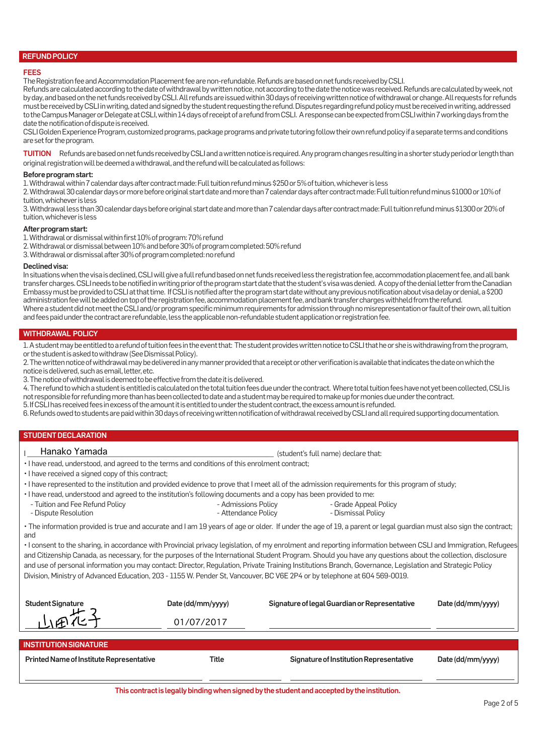#### REFUND POLICY

#### FEES

The Registration fee and Accommodation Placement fee are non-refundable. Refunds are based on net funds received by CSLI.

Refunds are calculated according to the date of withdrawal by written notice, not according to the date the notice was received. Refunds are calculated by week, not by day, and based on the net funds received by CSLI. All refunds are issued within 30 days of receiving written notice of withdrawal or change. All requests for refunds must be received by CSLI in writing, dated and signed by the student requesting the refund. Disputes regarding refund policy must be received in writing, addressed to the Campus Manager or Delegate at CSLI, within 14 days of receipt of a refund from CSLI. A response can be expected from CSLI within 7 working days from the date the notification of dispute is received.

CSLI Golden Experience Program, customized programs, package programs and private tutoring follow their own refund policy if a separate terms and conditions are set for the program.

TUITION Refunds are based on net funds received by CSLI and a written notice is required. Any program changes resulting in a shorter study period or length than original registration will be deemed a withdrawal, and the refund will be calculated as follows:

## Before program start:

1. Withdrawal within 7 calendar days after contract made: Full tuition refund minus \$250 or 5% of tuition, whichever is less

2. Withdrawal 30 calendar days or more before original start date and more than 7 calendar days after contract made: Full tuition refund minus \$1000 or 10% of tuition, whichever is less

3. Withdrawal less than 30 calendar days before original start date and more than 7 calendar days after contract made: Full tuition refund minus \$1300 or 20% of tuition, whichever is less

# After program start:

1. Withdrawal or dismissal within first 10% of program: 70% refund

2. Withdrawal or dismissal between 10% and before 30% of program completed: 50% refund

3. Withdrawal or dismissal after 30% of program completed: no refund

#### Declined visa:

In situations when the visa is declined, CSLI will give a full refund based on net funds received less the registration fee, accommodation placement fee, and all bank transfer charges. CSLI needs to be notified in writing prior of the program start date that the student's visa was denied. A copy of the denial letter from the Canadian Embassy must be provided to CSLI at that time. If CSLI is notified after the program start date without any previous notification about visa delay or denial, a \$200 administration fee will be added on top of the registration fee, accommodation placement fee, and bank transfer charges withheld from the refund. Where a student did not meet the CSLI and/or program specific minimum requirements for admission through no misrepresentation or fault of their own, all tuition and fees paid under the contract are refundable, less the applicable non-refundable student application or registration fee.

# WITHDRAWAL POLICY

1. A student may be entitled to a refund of tuition fees in the event that: The student provides written notice to CSLI that he or she is withdrawing from the program, or the student is asked to withdraw (See Dismissal Policy).

2. The written notice of withdrawal may be delivered in any manner provided that a receipt or other verification is available that indicates the date on which the notice is delivered, such as email, letter, etc.

3. The notice of withdrawal is deemed to be effective from the date it is delivered.

4. The refund to which a student is entitled is calculated on the total tuition fees due under the contract. Where total tuition fees have not yet been collected, CSLI is not responsible for refunding more than has been collected to date and a student may be required to make up for monies due under the contract. 5. If CSLI has received fees in excess of the amount it is entitled to under the student contract, the excess amount is refunded.

6. Refunds owed to students are paid within 30 days of receiving written notification of withdrawal received by CSLI and all required supporting documentation.

# STUDENT DECLARATION

# Hanako Yamada

• I have read, understood, and agreed to the terms and conditions of this enrolment contract;

- I have received a signed copy of this contract;
- I have represented to the institution and provided evidence to prove that I meet all of the admission requirements for this program of study;
- I have read, understood and agreed to the institution's following documents and a copy has been provided to me:
	- Tuition and Fee Refund Policy - Dispute Resolution
- Admissions Policy - Attendance Policy
- Grade Appeal Policy - Dismissal Policy

(student's full name) declare that:

• The information provided is true and accurate and I am 19 years of age or older. If under the age of 19, a parent or legal guardian must also sign the contract; and

• I consent to the sharing, in accordance with Provincial privacy legislation, of my enrolment and reporting information between CSLI and Immigration, Refugees and Citizenship Canada, as necessary, for the purposes of the International Student Program. Should you have any questions about the collection, disclosure and use of personal information you may contact: Director, Regulation, Private Training Institutions Branch, Governance, Legislation and Strategic Policy Division, Ministry of Advanced Education, 203 - 1155 W. Pender St, Vancouver, BC V6E 2P4 or by telephone at 604 569-0019.

| <b>Student Signature</b>                        | Date (dd/mm/yyyy) | Signature of legal Guardian or Representative | Date (dd/mm/yyyy) |
|-------------------------------------------------|-------------------|-----------------------------------------------|-------------------|
|                                                 | 01/07/2017        |                                               |                   |
|                                                 |                   |                                               |                   |
| <b>INSTITUTION SIGNATURE</b>                    |                   |                                               |                   |
| <b>Printed Name of Institute Representative</b> | Title             | Signature of Institution Representative       | Date (dd/mm/yyyy) |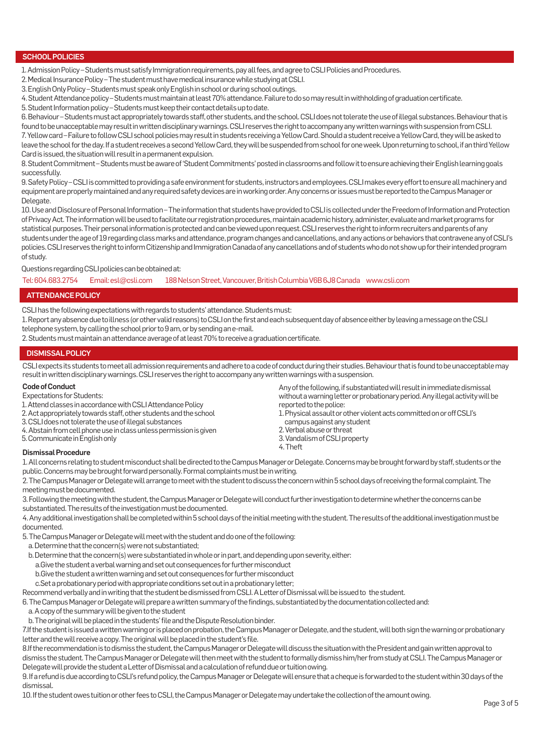# SCHOOL POLICIES

1. Admission Policy – Students must satisfy Immigration requirements, pay all fees, and agree to CSLI Policies and Procedures.

2. Medical Insurance Policy – The student must have medical insurance while studying at CSLI.

3. English Only Policy – Students must speak only English in school or during school outings.

4. Student Attendance policy – Students must maintain at least 70% attendance. Failure to do so may result in withholding of graduation certificate.

5. Student Information policy – Students must keep their contact details up to date.

6. Behaviour – Students must act appropriately towards staff, other students, and the school. CSLI does not tolerate the use of illegal substances. Behaviour that is found to be unacceptable may result in written disciplinary warnings. CSLI reserves the right to accompany any written warnings with suspension from CSLI. 7. Yellow card – Failure to follow CSLI school policies may result in students receiving a Yellow Card. Should a student receive a Yellow Card, they will be asked to leave the school for the day. If a student receives a second Yellow Card, they will be suspended from school for one week. Upon returning to school, if an third Yellow Card is issued, the situation will result in a permanent expulsion.

8. Student Commitment – Students must be aware of 'Student Commitments' posted in classrooms and follow it to ensure achieving their English learning goals successfully.

9. Safety Policy – CSLI is committed to providing a safe environment for students, instructors and employees. CSLI makes every effort to ensure all machinery and equipment are properly maintained and any required safety devices are in working order. Any concerns or issues must be reported to the Campus Manager or Delegate.

10. Use and Disclosure of Personal Information – The information that students have provided to CSLI is collected under the Freedom of Information and Protection of Privacy Act. The information will be used to facilitate our registration procedures, maintain academic history, administer, evaluate and market programs for statistical purposes. Their personal information is protected and can be viewed upon request. CSLI reserves the right to inform recruiters and parents of any students under the age of 19 regarding class marks and attendance, program changes and cancellations, and any actions or behaviors that contravene any of CSLI's policies. CSLI reserves the right to inform Citizenship and Immigration Canada of any cancellations and of students who do not show up for their intended program of study.

Questions regarding CSLI policies can be obtained at:

Tel: 604.683.2754 Email: esl@csli.com 188 Nelson Street, Vancouver, British Columbia V6B 6J8 Canada www.csli.com

# ATTENDANCE POLICY

CSLI has the following expectations with regards to students' attendance. Students must:

1. Report any absence due to illness (or other valid reasons) to CSLI on the first and each subsequent day of absence either by leaving a message on the CSLI telephone system, by calling the school prior to 9 am, or by sending an e-mail.

2. Students must maintain an attendance average of at least 70% to receive a graduation certificate.

# DISMISSAL POLICY

CSLI expects its students to meet all admission requirements and adhere to a code of conduct during their studies. Behaviour that is found to be unacceptable may result in written disciplinary warnings. CSLI reserves the right to accompany any written warnings with a suspension.

### Code of Conduct

Expectations for Students:

- 1. Attend classes in accordance with CSLI Attendance Policy
- 2. Act appropriately towards staff, other students and the school
- 3. CSLI does not tolerate the use of illegal substances
- 4. Abstain from cell phone use in class unless permission is given

5. Communicate in English only

reported to the police: 1. Physical assault or other violent acts committed on or off CSLI's campus against any student 2. Verbal abuse or threat

Any of the following, if substantiated will result in immediate dismissal without a warning letter or probationary period. Any illegal activity will be

3. Vandalism of CSLI property 4. Theft

# Dismissal Procedure

1. All concerns relating to student misconduct shall be directed to the Campus Manager or Delegate. Concerns may be brought forward by staff, students or the public. Concerns may be brought forward personally. Formal complaints must be in writing.

2. The Campus Manager or Delegate will arrange to meet with the student to discuss the concern within 5 school days of receiving the formal complaint. The meeting must be documented.

3. Following the meeting with the student, the Campus Manager or Delegate will conduct further investigation to determine whether the concerns can be substantiated. The results of the investigation must be documented.

4. Any additional investigation shall be completed within 5 school days of the initial meeting with the student. The results of the additional investigation must be documented.

5. The Campus Manager or Delegate will meet with the student and do one of the following:

a. Determine that the concern(s) were not substantiated;

- b. Determine that the concern(s) were substantiated in whole or in part, and depending upon severity, either:
- a.Give the student a verbal warning and set out consequences for further misconduct
- b.Give the student a written warning and set out consequences for further misconduct

c.Set a probationary period with appropriate conditions set out in a probationary letter;

Recommend verbally and in writing that the student be dismissed from CSLI. A Letter of Dismissal will be issued to the student.

6. The Campus Manager or Delegate will prepare a written summary of the findings, substantiated by the documentation collected and:

a. A copy of the summary will be given to the student

b. The original will be placed in the students' file and the Dispute Resolution binder.

7.If the student is issued a written warning or is placed on probation, the Campus Manager or Delegate, and the student, will both sign the warning or probationary letter and the will receive a copy. The original will be placed in the student's file.

8.If the recommendation is to dismiss the student, the Campus Manager or Delegate will discuss the situation with the President and gain written approval to dismiss the student. The Campus Manager or Delegate will then meet with the student to formally dismiss him/her from study at CSLI. The Campus Manager or Delegate will provide the student a Letter of Dismissal and a calculation of refund due or tuition owing.

9. If a refund is due according to CSLI's refund policy, the Campus Manager or Delegate will ensure that a cheque is forwarded to the student within 30 days of the dismissal.

10. If the student owes tuition or other fees to CSLI, the Campus Manager or Delegate may undertake the collection of the amount owing.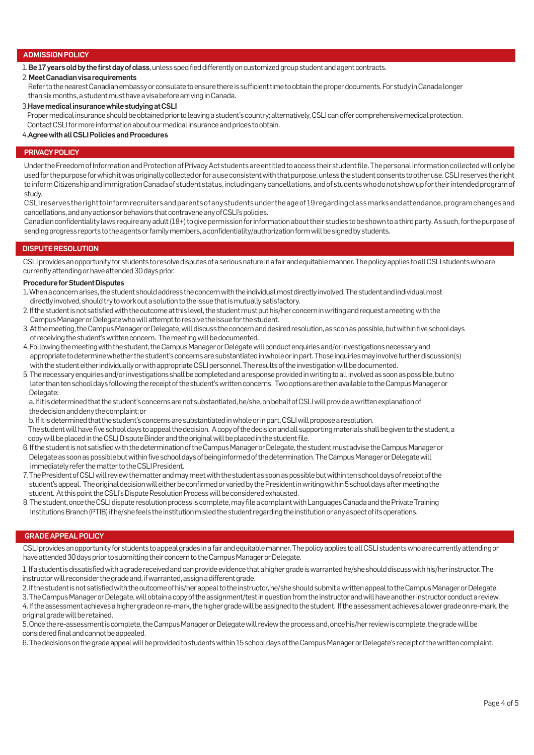# ADMISSION POLICY

1. Be 17 years old by the first day of class, unless specified differently on customized group student and agent contracts.

#### 2. Meet Canadian visa requirements

 Refer to the nearest Canadian embassy or consulate to ensure there is sufficient time to obtain the proper documents. For study in Canada longer than six months, a student must have a visa before arriving in Canada.

#### 3.Have medical insurance while studying at CSLI

Proper medical insurance should be obtained prior to leaving a student's country; alternatively, CSLI can offer comprehensive medical protection.

Contact CSLI for more information about our medical insurance and prices to obtain.

#### 4.Agree with all CSLI Policies and Procedures

#### PRIVACY POLICY

Under the Freedom of Information and Protection of Privacy Act students are entitled to access their student file. The personal information collected will only be used for the purpose for which it was originally collected or for a use consistent with that purpose, unless the student consents to other use. CSLI reserves the right to inform Citizenship and Immigration Canada of student status, including any cancellations, and of students who do not show up for their intended program of study.

CSLI reserves the right to inform recruiters and parents of any students under the age of 19 regarding class marks and attendance, program changes and cancellations, and any actions or behaviors that contravene any of CSLI's policies.

Canadian confidentiality laws require any adult (18+) to give permission for information about their studies to be shown to a third party. As such, for the purpose of sending progress reports to the agents or family members, a confidentiality/authorization form will be signed by students.

# DISPUTE RESOLUTION

CSLI provides an opportunity for students to resolve disputes of a serious nature in a fair and equitable manner. The policy applies to all CSLI students who are currently attending or have attended 30 days prior.

# Procedure for Student Disputes

- 1. When a concern arises, the student should address the concern with the individual most directly involved. The student and individual most directly involved, should try to work out a solution to the issue that is mutually satisfactory.
- 2. If the student is not satisfied with the outcome at this level, the student must put his/her concern in writing and request a meeting with the Campus Manager or Delegate who will attempt to resolve the issue for the student.
- 3. At the meeting, the Campus Manager or Delegate, will discuss the concern and desired resolution, as soon as possible, but within five school days of receiving the student's written concern. The meeting will be documented.
- 4. Following the meeting with the student, the Campus Manager or Delegate will conduct enquiries and/or investigations necessary and appropriate to determine whether the student's concerns are substantiated in whole or in part. Those inquiries may involve further discussion(s) with the student either individually or with appropriate CSLI personnel. The results of the investigation will be documented.
- 5. The necessary enquiries and/or investigations shall be completed and a response provided in writing to all involved as soon as possible, but no later than ten school days following the receipt of the student's written concerns. Two options are then available to the Campus Manager or Delegate:

 a. If it is determined that the student's concerns are not substantiated, he/she, on behalf of CSLI will provide a written explanation of the decision and deny the complaint; or

b. If it is determined that the student's concerns are substantiated in whole or in part, CSLI will propose a resolution.

 The student will have five school days to appeal the decision. A copy of the decision and all supporting materials shall be given to the student, a copy will be placed in the CSLI Dispute Binder and the original will be placed in the student file.

- 6. If the student is not satisfied with the determination of the Campus Manager or Delegate, the student must advise the Campus Manager or Delegate as soon as possible but within five school days of being informed of the determination. The Campus Manager or Delegate will immediately refer the matter to the CSLI President.
- 7. The President of CSLI will review the matter and may meet with the student as soon as possible but within ten school days of receipt of the student's appeal. The original decision will either be confirmed or varied by the President in writing within 5 school days after meeting the student. At this point the CSLI's Dispute Resolution Process will be considered exhausted.
- 8. The student, once the CSLI dispute resolution process is complete, may file a complaint with Languages Canada and the Private Training Institutions Branch (PTIB) if he/she feels the institution misled the student regarding the institution or any aspect of its operations.

#### GRADE APPEAL POLICY

CSLI provides an opportunity for students to appeal grades in a fair and equitable manner. The policy applies to all CSLI students who are currently attending or have attended 30 days prior to submitting their concern to the Campus Manager or Delegate.

1. If a student is dissatisfied with a grade received and can provide evidence that a higher grade is warranted he/she should discuss with his/her instructor. The instructor will reconsider the grade and, if warranted, assign a different grade.

2. If the student is not satisfied with the outcome of his/her appeal to the instructor, he/she should submit a written appeal to the Campus Manager or Delegate. 3. The Campus Manager or Delegate, will obtain a copy of the assignment/test in question from the instructor and will have another instructor conduct a review.

4. If the assessment achieves a higher grade on re-mark, the higher grade will be assigned to the student. If the assessment achieves a lower grade on re-mark, the original grade will be retained.

5. Once the re-assessment is complete, the Campus Manager or Delegate will review the process and, once his/her review is complete, the grade will be considered final and cannot be appealed.

6. The decisions on the grade appeal will be provided to students within 15 school days of the Campus Manager or Delegate's receipt of the written complaint.